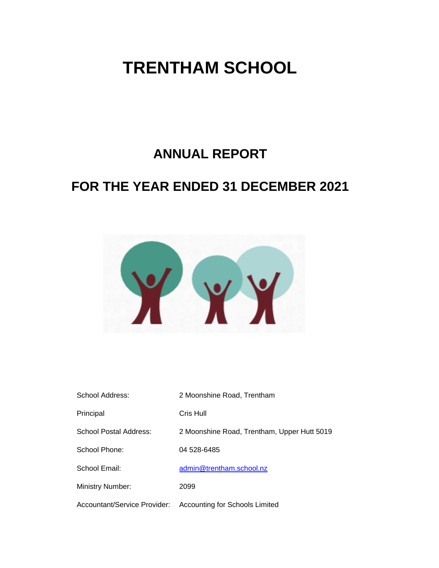# **ANNUAL REPORT**

# **FOR THE YEAR ENDED 31 DECEMBER 2021**



| School Address:              | 2 Moonshine Road, Trentham                  |
|------------------------------|---------------------------------------------|
| Principal                    | Cris Hull                                   |
| School Postal Address:       | 2 Moonshine Road, Trentham, Upper Hutt 5019 |
| School Phone:                | 04 528-6485                                 |
| School Email:                | admin@trentham.school.nz                    |
| <b>Ministry Number:</b>      | 2099                                        |
| Accountant/Service Provider: | Accounting for Schools Limited              |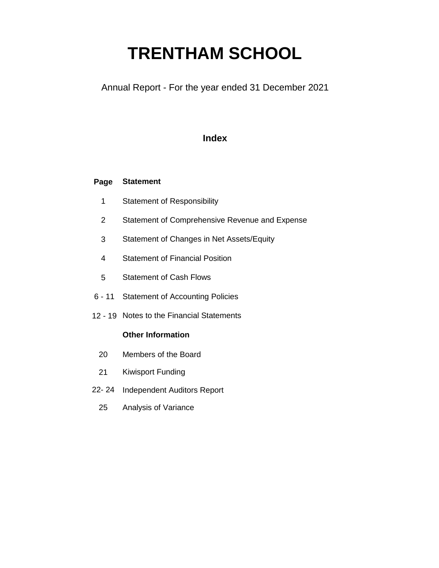Annual Report - For the year ended 31 December 2021

### **Index**

#### **Page Statement**

- 1 Statement of Responsibility
- 2 Statement of Comprehensive Revenue and Expense
- 3 Statement of Changes in Net Assets/Equity
- 4 Statement of Financial Position
- 5 Statement of Cash Flows
- 6 11 Statement of Accounting Policies
- 12 19 Notes to the Financial Statements

#### **Other Information**

- 20 Members of the Board
- 21 Kiwisport Funding
- 22- 24 Independent Auditors Report
	- 25 Analysis of Variance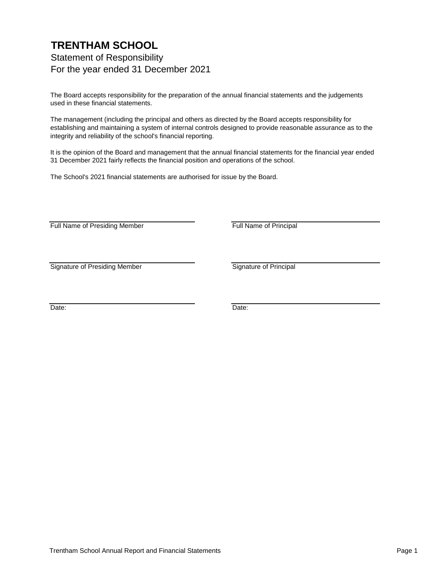### **TRENTHAM SCHOOL** Statement of Responsibility For the year ended 31 December 2021

The Board accepts responsibility for the preparation of the annual financial statements and the judgements used in these financial statements.

The management (including the principal and others as directed by the Board accepts responsibility for establishing and maintaining a system of internal controls designed to provide reasonable assurance as to the integrity and reliability of the school's financial reporting.

It is the opinion of the Board and management that the annual financial statements for the financial year ended 31 December 2021 fairly reflects the financial position and operations of the school.

The School's 2021 financial statements are authorised for issue by the Board.

Full Name of Presiding Member Full Name of Principal

Signature of Presiding Member Signature of Principal

Date: **Date: Date: Date: Date: Date: Date: Date: Date: Date: Date: Date: Date: Date: Date: Date: Date: Date: Date: Date: Date: Date: Date: Date: Date: Date: Date: Date:**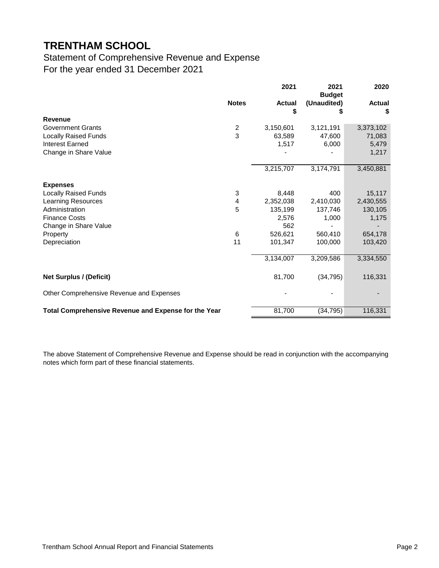### Statement of Comprehensive Revenue and Expense For the year ended 31 December 2021

|                                                      |                | 2021                | 2021<br><b>Budget</b> | 2020                |
|------------------------------------------------------|----------------|---------------------|-----------------------|---------------------|
|                                                      | <b>Notes</b>   | <b>Actual</b><br>\$ | (Unaudited)<br>5      | <b>Actual</b><br>\$ |
| <b>Revenue</b>                                       |                |                     |                       |                     |
| <b>Government Grants</b>                             | $\overline{c}$ | 3,150,601           | 3,121,191             | 3,373,102           |
| <b>Locally Raised Funds</b>                          | 3              | 63,589              | 47,600                | 71,083              |
| <b>Interest Earned</b>                               |                | 1,517               | 6,000                 | 5,479               |
| Change in Share Value                                |                |                     |                       | 1,217               |
|                                                      |                | 3,215,707           | 3,174,791             | 3,450,881           |
| <b>Expenses</b>                                      |                |                     |                       |                     |
| <b>Locally Raised Funds</b>                          | 3              | 8,448               | 400                   | 15,117              |
| <b>Learning Resources</b>                            | 4              | 2,352,038           | 2,410,030             | 2,430,555           |
| Administration                                       | 5              | 135,199             | 137,746               | 130,105             |
| <b>Finance Costs</b>                                 |                | 2,576               | 1,000                 | 1,175               |
| Change in Share Value                                |                | 562                 |                       |                     |
| Property                                             | 6              | 526,621             | 560,410               | 654,178             |
| Depreciation                                         | 11             | 101,347             | 100,000               | 103,420             |
|                                                      |                | 3,134,007           | 3,209,586             | 3,334,550           |
| <b>Net Surplus / (Deficit)</b>                       |                | 81,700              | (34, 795)             | 116,331             |
| Other Comprehensive Revenue and Expenses             |                |                     |                       |                     |
| Total Comprehensive Revenue and Expense for the Year |                | 81,700              | (34, 795)             | 116,331             |

The above Statement of Comprehensive Revenue and Expense should be read in conjunction with the accompanying notes which form part of these financial statements.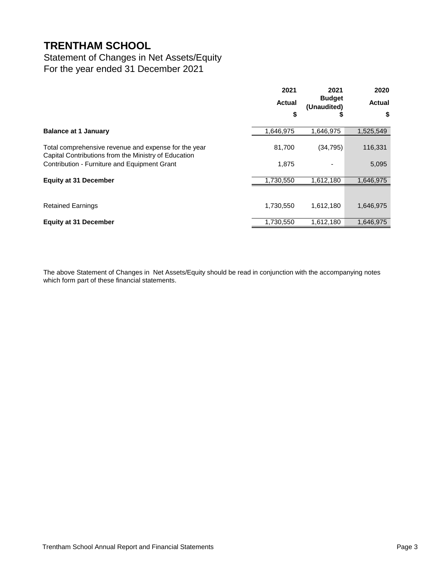### Statement of Changes in Net Assets/Equity For the year ended 31 December 2021

|                                                                                                              | 2021          | 2021                              | 2020          |
|--------------------------------------------------------------------------------------------------------------|---------------|-----------------------------------|---------------|
|                                                                                                              | <b>Actual</b> | <b>Budget</b><br>(Unaudited)<br>จ | <b>Actual</b> |
|                                                                                                              | \$            |                                   | \$            |
| <b>Balance at 1 January</b>                                                                                  | 1,646,975     | 1,646,975                         | 1,525,549     |
| Total comprehensive revenue and expense for the year<br>Capital Contributions from the Ministry of Education | 81,700        | (34, 795)                         | 116,331       |
| Contribution - Furniture and Equipment Grant                                                                 | 1,875         |                                   | 5,095         |
| <b>Equity at 31 December</b>                                                                                 | 1,730,550     | 1,612,180                         | 1,646,975     |
|                                                                                                              |               |                                   |               |
| <b>Retained Earnings</b>                                                                                     | 1,730,550     | 1,612,180                         | 1,646,975     |
| <b>Equity at 31 December</b>                                                                                 | 1,730,550     | 1,612,180                         | 1,646,975     |

The above Statement of Changes in Net Assets/Equity should be read in conjunction with the accompanying notes which form part of these financial statements.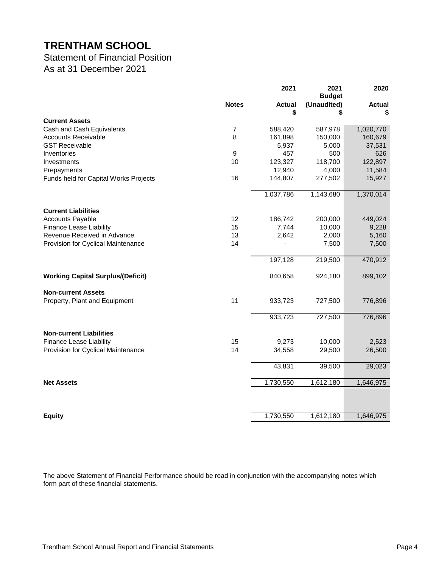### Statement of Financial Position As at 31 December 2021

|                                                         |                | 2021          | 2021<br><b>Budget</b> | 2020          |
|---------------------------------------------------------|----------------|---------------|-----------------------|---------------|
|                                                         | <b>Notes</b>   | <b>Actual</b> | (Unaudited)           | <b>Actual</b> |
| <b>Current Assets</b>                                   |                | \$            | \$                    |               |
|                                                         | $\overline{7}$ | 588,420       | 587,978               | 1,020,770     |
| Cash and Cash Equivalents<br><b>Accounts Receivable</b> | 8              | 161,898       | 150,000               | 160,679       |
| <b>GST Receivable</b>                                   |                | 5,937         | 5,000                 | 37,531        |
| Inventories                                             | 9              | 457           | 500                   | 626           |
| Investments                                             | 10             | 123,327       | 118,700               | 122,897       |
| Prepayments                                             |                | 12,940        | 4,000                 | 11,584        |
| Funds held for Capital Works Projects                   | 16             | 144,807       | 277,502               | 15,927        |
|                                                         |                |               |                       |               |
|                                                         |                | 1,037,786     | 1,143,680             | 1,370,014     |
|                                                         |                |               |                       |               |
| <b>Current Liabilities</b>                              |                |               |                       |               |
| <b>Accounts Payable</b>                                 | 12             | 186,742       | 200,000               | 449,024       |
| <b>Finance Lease Liability</b>                          | 15             | 7,744         | 10,000                | 9,228         |
| Revenue Received in Advance                             | 13             | 2,642         | 2,000                 | 5,160         |
| Provision for Cyclical Maintenance                      | 14             |               | 7,500                 | 7,500         |
|                                                         |                |               |                       |               |
|                                                         |                | 197,128       | 219,500               | 470,912       |
| <b>Working Capital Surplus/(Deficit)</b>                |                | 840,658       | 924,180               | 899,102       |
| <b>Non-current Assets</b>                               |                |               |                       |               |
| Property, Plant and Equipment                           | 11             | 933,723       | 727,500               | 776,896       |
|                                                         |                |               |                       |               |
|                                                         |                | 933,723       | 727,500               | 776,896       |
| <b>Non-current Liabilities</b>                          |                |               |                       |               |
| <b>Finance Lease Liability</b>                          | 15             | 9,273         | 10,000                | 2,523         |
| Provision for Cyclical Maintenance                      | 14             | 34,558        | 29,500                | 26,500        |
|                                                         |                |               |                       |               |
|                                                         |                | 43,831        | 39,500                | 29,023        |
| <b>Net Assets</b>                                       |                | 1,730,550     | 1,612,180             | 1,646,975     |
|                                                         |                |               |                       |               |
|                                                         |                |               |                       |               |
| <b>Equity</b>                                           |                | 1,730,550     | 1,612,180             | 1,646,975     |

The above Statement of Financial Performance should be read in conjunction with the accompanying notes which form part of these financial statements.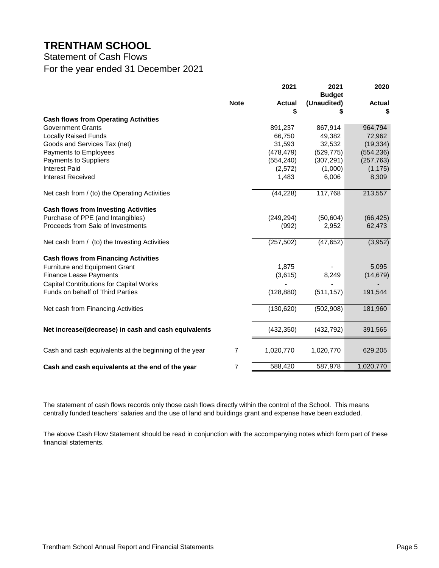Statement of Cash Flows For the year ended 31 December 2021

|                                                        |             | 2021          | 2021<br><b>Budget</b> | 2020          |
|--------------------------------------------------------|-------------|---------------|-----------------------|---------------|
|                                                        | <b>Note</b> | <b>Actual</b> | (Unaudited)           | <b>Actual</b> |
|                                                        |             | \$            |                       |               |
| <b>Cash flows from Operating Activities</b>            |             |               |                       |               |
| <b>Government Grants</b>                               |             | 891,237       | 867,914               | 964,794       |
| <b>Locally Raised Funds</b>                            |             | 66,750        | 49,382                | 72,962        |
| Goods and Services Tax (net)                           |             | 31,593        | 32,532                | (19, 334)     |
| Payments to Employees                                  |             | (478, 479)    | (529, 775)            | (554, 236)    |
| Payments to Suppliers                                  |             | (554, 240)    | (307, 291)            | (257, 763)    |
| <b>Interest Paid</b>                                   |             | (2,572)       | (1,000)               | (1, 175)      |
| <b>Interest Received</b>                               |             | 1,483         | 6,006                 | 8,309         |
| Net cash from / (to) the Operating Activities          |             | (44, 228)     | 117,768               | 213,557       |
| <b>Cash flows from Investing Activities</b>            |             |               |                       |               |
| Purchase of PPE (and Intangibles)                      |             | (249, 294)    | (50, 604)             | (66, 425)     |
| Proceeds from Sale of Investments                      |             | (992)         | 2,952                 | 62,473        |
| Net cash from / (to) the Investing Activities          |             | (257, 502)    | (47, 652)             | (3,952)       |
| <b>Cash flows from Financing Activities</b>            |             |               |                       |               |
| Furniture and Equipment Grant                          |             | 1,875         |                       | 5,095         |
| <b>Finance Lease Payments</b>                          |             | (3,615)       | 8,249                 | (14, 679)     |
| <b>Capital Contributions for Capital Works</b>         |             |               |                       |               |
| Funds on behalf of Third Parties                       |             | (128, 880)    | (511, 157)            | 191,544       |
| Net cash from Financing Activities                     |             | (130, 620)    | (502,908)             | 181,960       |
| Net increase/(decrease) in cash and cash equivalents   |             | (432, 350)    | (432, 792)            | 391,565       |
| Cash and cash equivalents at the beginning of the year | 7           | 1,020,770     | 1,020,770             | 629,205       |
| Cash and cash equivalents at the end of the year       | 7           | 588,420       | 587,978               | 1,020,770     |

The statement of cash flows records only those cash flows directly within the control of the School. This means centrally funded teachers' salaries and the use of land and buildings grant and expense have been excluded.

The above Cash Flow Statement should be read in conjunction with the accompanying notes which form part of these financial statements.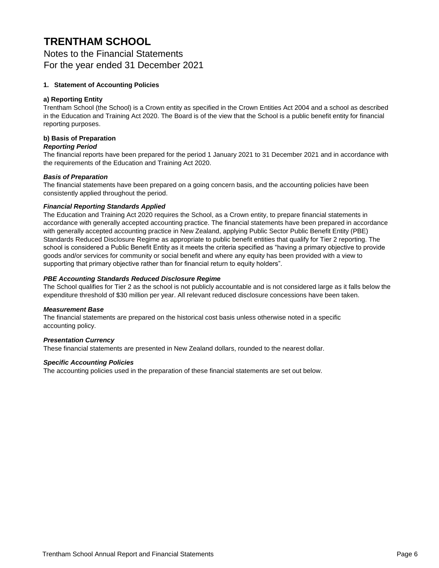Notes to the Financial Statements For the year ended 31 December 2021

#### **1. Statement of Accounting Policies**

#### **a) Reporting Entity**

Trentham School (the School) is a Crown entity as specified in the Crown Entities Act 2004 and a school as described in the Education and Training Act 2020. The Board is of the view that the School is a public benefit entity for financial reporting purposes.

#### **b) Basis of Preparation**

#### *Reporting Period*

The financial reports have been prepared for the period 1 January 2021 to 31 December 2021 and in accordance with the requirements of the Education and Training Act 2020.

#### *Basis of Preparation*

The financial statements have been prepared on a going concern basis, and the accounting policies have been consistently applied throughout the period.

#### *Financial Reporting Standards Applied*

The Education and Training Act 2020 requires the School, as a Crown entity, to prepare financial statements in accordance with generally accepted accounting practice. The financial statements have been prepared in accordance with generally accepted accounting practice in New Zealand, applying Public Sector Public Benefit Entity (PBE) Standards Reduced Disclosure Regime as appropriate to public benefit entities that qualify for Tier 2 reporting. The school is considered a Public Benefit Entity as it meets the criteria specified as "having a primary objective to provide goods and/or services for community or social benefit and where any equity has been provided with a view to supporting that primary objective rather than for financial return to equity holders".

#### *PBE Accounting Standards Reduced Disclosure Regime*

The School qualifies for Tier 2 as the school is not publicly accountable and is not considered large as it falls below the expenditure threshold of \$30 million per year. All relevant reduced disclosure concessions have been taken.

#### *Measurement Base*

The financial statements are prepared on the historical cost basis unless otherwise noted in a specific accounting policy.

#### *Presentation Currency*

These financial statements are presented in New Zealand dollars, rounded to the nearest dollar.

#### *Specific Accounting Policies*

The accounting policies used in the preparation of these financial statements are set out below.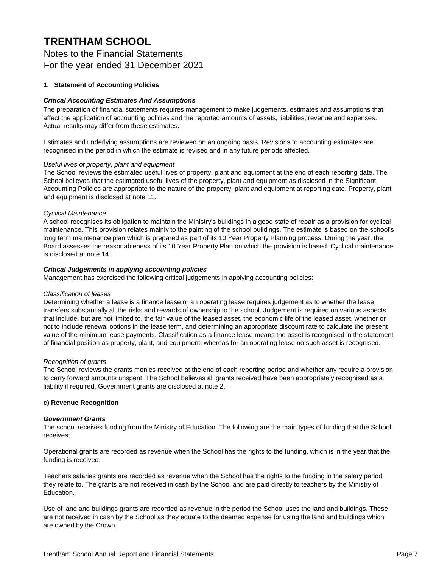Notes to the Financial Statements For the year ended 31 December 2021

#### **1. Statement of Accounting Policies**

#### *Critical Accounting Estimates And Assumptions*

The preparation of financial statements requires management to make judgements, estimates and assumptions that affect the application of accounting policies and the reported amounts of assets, liabilities, revenue and expenses. Actual results may differ from these estimates.

Estimates and underlying assumptions are reviewed on an ongoing basis. Revisions to accounting estimates are recognised in the period in which the estimate is revised and in any future periods affected.

#### *Useful lives of property, plant and equipment*

The School reviews the estimated useful lives of property, plant and equipment at the end of each reporting date. The School believes that the estimated useful lives of the property, plant and equipment as disclosed in the Significant Accounting Policies are appropriate to the nature of the property, plant and equipment at reporting date. Property, plant and equipment is disclosed at note 11.

#### *Cyclical Maintenance*

A school recognises its obligation to maintain the Ministry's buildings in a good state of repair as a provision for cyclical maintenance. This provision relates mainly to the painting of the school buildings. The estimate is based on the school's long term maintenance plan which is prepared as part of its 10 Year Property Planning process. During the year, the Board assesses the reasonableness of its 10 Year Property Plan on which the provision is based. Cyclical maintenance is disclosed at note 14.

#### *Critical Judgements in applying accounting policies*

Management has exercised the following critical judgements in applying accounting policies:

#### *Classification of leases*

Determining whether a lease is a finance lease or an operating lease requires judgement as to whether the lease transfers substantially all the risks and rewards of ownership to the school. Judgement is required on various aspects that include, but are not limited to, the fair value of the leased asset, the economic life of the leased asset, whether or not to include renewal options in the lease term, and determining an appropriate discount rate to calculate the present value of the minimum lease payments. Classification as a finance lease means the asset is recognised in the statement of financial position as property, plant, and equipment, whereas for an operating lease no such asset is recognised.

#### *Recognition of grants*

The School reviews the grants monies received at the end of each reporting period and whether any require a provision to carry forward amounts unspent. The School believes all grants received have been appropriately recognised as a liability if required. Government grants are disclosed at note 2.

#### **c) Revenue Recognition**

#### *Government Grants*

The school receives funding from the Ministry of Education. The following are the main types of funding that the School receives;

Operational grants are recorded as revenue when the School has the rights to the funding, which is in the year that the funding is received.

Teachers salaries grants are recorded as revenue when the School has the rights to the funding in the salary period they relate to. The grants are not received in cash by the School and are paid directly to teachers by the Ministry of Education.

Use of land and buildings grants are recorded as revenue in the period the School uses the land and buildings. These are not received in cash by the School as they equate to the deemed expense for using the land and buildings which are owned by the Crown.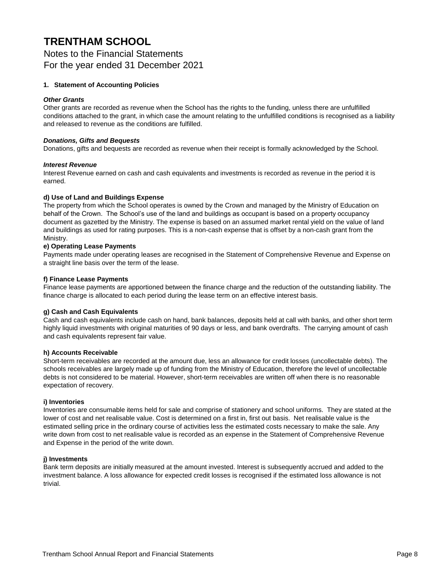Notes to the Financial Statements For the year ended 31 December 2021

#### **1. Statement of Accounting Policies**

#### *Other Grants*

Other grants are recorded as revenue when the School has the rights to the funding, unless there are unfulfilled conditions attached to the grant, in which case the amount relating to the unfulfilled conditions is recognised as a liability and released to revenue as the conditions are fulfilled.

#### *Donations, Gifts and Bequests*

Donations, gifts and bequests are recorded as revenue when their receipt is formally acknowledged by the School.

#### *Interest Revenue*

Interest Revenue earned on cash and cash equivalents and investments is recorded as revenue in the period it is earned.

#### **d) Use of Land and Buildings Expense**

The property from which the School operates is owned by the Crown and managed by the Ministry of Education on behalf of the Crown. The School's use of the land and buildings as occupant is based on a property occupancy document as gazetted by the Ministry. The expense is based on an assumed market rental yield on the value of land and buildings as used for rating purposes. This is a non-cash expense that is offset by a non-cash grant from the Ministry.

#### **e) Operating Lease Payments**

Payments made under operating leases are recognised in the Statement of Comprehensive Revenue and Expense on a straight line basis over the term of the lease.

#### **f) Finance Lease Payments**

Finance lease payments are apportioned between the finance charge and the reduction of the outstanding liability. The finance charge is allocated to each period during the lease term on an effective interest basis.

#### **g) Cash and Cash Equivalents**

Cash and cash equivalents include cash on hand, bank balances, deposits held at call with banks, and other short term highly liquid investments with original maturities of 90 days or less, and bank overdrafts. The carrying amount of cash and cash equivalents represent fair value.

#### **h) Accounts Receivable**

Short-term receivables are recorded at the amount due, less an allowance for credit losses (uncollectable debts). The schools receivables are largely made up of funding from the Ministry of Education, therefore the level of uncollectable debts is not considered to be material. However, short-term receivables are written off when there is no reasonable expectation of recovery.

#### **i) Inventories**

Inventories are consumable items held for sale and comprise of stationery and school uniforms. They are stated at the lower of cost and net realisable value. Cost is determined on a first in, first out basis. Net realisable value is the estimated selling price in the ordinary course of activities less the estimated costs necessary to make the sale. Any write down from cost to net realisable value is recorded as an expense in the Statement of Comprehensive Revenue and Expense in the period of the write down.

#### **j) Investments**

Bank term deposits are initially measured at the amount invested. Interest is subsequently accrued and added to the investment balance. A loss allowance for expected credit losses is recognised if the estimated loss allowance is not trivial.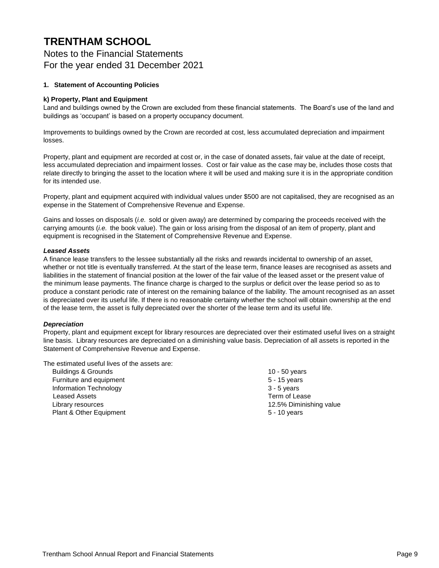Notes to the Financial Statements For the year ended 31 December 2021

#### **1. Statement of Accounting Policies**

#### **k) Property, Plant and Equipment**

Land and buildings owned by the Crown are excluded from these financial statements. The Board's use of the land and buildings as 'occupant' is based on a property occupancy document.

Improvements to buildings owned by the Crown are recorded at cost, less accumulated depreciation and impairment losses.

Property, plant and equipment are recorded at cost or, in the case of donated assets, fair value at the date of receipt, less accumulated depreciation and impairment losses. Cost or fair value as the case may be, includes those costs that relate directly to bringing the asset to the location where it will be used and making sure it is in the appropriate condition for its intended use.

Property, plant and equipment acquired with individual values under \$500 are not capitalised, they are recognised as an expense in the Statement of Comprehensive Revenue and Expense.

Gains and losses on disposals (*i.e.* sold or given away) are determined by comparing the proceeds received with the carrying amounts (*i.e.* the book value). The gain or loss arising from the disposal of an item of property, plant and equipment is recognised in the Statement of Comprehensive Revenue and Expense.

#### *Leased Assets*

A finance lease transfers to the lessee substantially all the risks and rewards incidental to ownership of an asset, whether or not title is eventually transferred. At the start of the lease term, finance leases are recognised as assets and liabilities in the statement of financial position at the lower of the fair value of the leased asset or the present value of the minimum lease payments. The finance charge is charged to the surplus or deficit over the lease period so as to produce a constant periodic rate of interest on the remaining balance of the liability. The amount recognised as an asset is depreciated over its useful life. If there is no reasonable certainty whether the school will obtain ownership at the end of the lease term, the asset is fully depreciated over the shorter of the lease term and its useful life.

#### *Depreciation*

Property, plant and equipment except for library resources are depreciated over their estimated useful lives on a straight line basis. Library resources are depreciated on a diminishing value basis. Depreciation of all assets is reported in the Statement of Comprehensive Revenue and Expense.

The estimated useful lives of the assets are:

 Buildings & Grounds 10 - 50 years Furniture and equipment **Furniture 3** - 15 years Information Technology 3 - 5 years Leased Assets Term of Lease Library resources 12.5% Diminishing value Plant & Other Equipment 5 - 10 years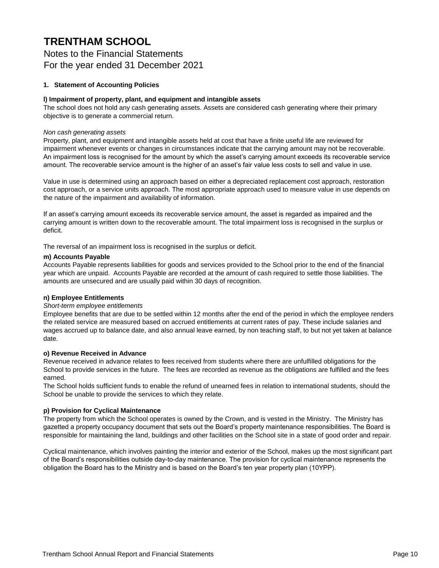Notes to the Financial Statements For the year ended 31 December 2021

#### **1. Statement of Accounting Policies**

#### **l) Impairment of property, plant, and equipment and intangible assets**

The school does not hold any cash generating assets. Assets are considered cash generating where their primary objective is to generate a commercial return.

#### *Non cash generating assets*

Property, plant, and equipment and intangible assets held at cost that have a finite useful life are reviewed for impairment whenever events or changes in circumstances indicate that the carrying amount may not be recoverable. An impairment loss is recognised for the amount by which the asset's carrying amount exceeds its recoverable service amount. The recoverable service amount is the higher of an asset's fair value less costs to sell and value in use.

Value in use is determined using an approach based on either a depreciated replacement cost approach, restoration cost approach, or a service units approach. The most appropriate approach used to measure value in use depends on the nature of the impairment and availability of information.

If an asset's carrying amount exceeds its recoverable service amount, the asset is regarded as impaired and the carrying amount is written down to the recoverable amount. The total impairment loss is recognised in the surplus or deficit.

The reversal of an impairment loss is recognised in the surplus or deficit.

#### **m) Accounts Payable**

Accounts Payable represents liabilities for goods and services provided to the School prior to the end of the financial year which are unpaid. Accounts Payable are recorded at the amount of cash required to settle those liabilities. The amounts are unsecured and are usually paid within 30 days of recognition.

#### **n) Employee Entitlements**

#### *Short-term employee entitlements*

Employee benefits that are due to be settled within 12 months after the end of the period in which the employee renders the related service are measured based on accrued entitlements at current rates of pay. These include salaries and wages accrued up to balance date, and also annual leave earned, by non teaching staff, to but not yet taken at balance date.

#### **o) Revenue Received in Advance**

Revenue received in advance relates to fees received from students where there are unfulfilled obligations for the School to provide services in the future. The fees are recorded as revenue as the obligations are fulfilled and the fees earned.

The School holds sufficient funds to enable the refund of unearned fees in relation to international students, should the School be unable to provide the services to which they relate.

#### **p) Provision for Cyclical Maintenance**

The property from which the School operates is owned by the Crown, and is vested in the Ministry. The Ministry has gazetted a property occupancy document that sets out the Board's property maintenance responsibilities. The Board is responsible for maintaining the land, buildings and other facilities on the School site in a state of good order and repair.

Cyclical maintenance, which involves painting the interior and exterior of the School, makes up the most significant part of the Board's responsibilities outside day-to-day maintenance. The provision for cyclical maintenance represents the obligation the Board has to the Ministry and is based on the Board's ten year property plan (10YPP).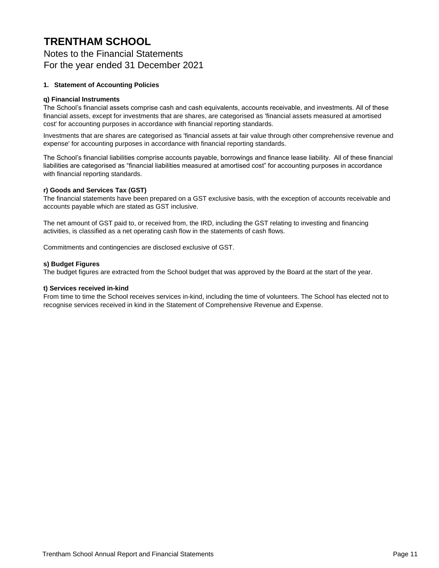Notes to the Financial Statements For the year ended 31 December 2021

#### **1. Statement of Accounting Policies**

#### **q) Financial Instruments**

The School's financial assets comprise cash and cash equivalents, accounts receivable, and investments. All of these financial assets, except for investments that are shares, are categorised as 'financial assets measured at amortised cost' for accounting purposes in accordance with financial reporting standards.

Investments that are shares are categorised as 'financial assets at fair value through other comprehensive revenue and expense' for accounting purposes in accordance with financial reporting standards.

The School's financial liabilities comprise accounts payable, borrowings and finance lease liability. All of these financial liabilities are categorised as "financial liabilities measured at amortised cost" for accounting purposes in accordance with financial reporting standards.

#### **r) Goods and Services Tax (GST)**

The financial statements have been prepared on a GST exclusive basis, with the exception of accounts receivable and accounts payable which are stated as GST inclusive.

The net amount of GST paid to, or received from, the IRD, including the GST relating to investing and financing activities, is classified as a net operating cash flow in the statements of cash flows.

Commitments and contingencies are disclosed exclusive of GST.

#### **s) Budget Figures**

The budget figures are extracted from the School budget that was approved by the Board at the start of the year.

#### **t) Services received in-kind**

From time to time the School receives services in-kind, including the time of volunteers. The School has elected not to recognise services received in kind in the Statement of Comprehensive Revenue and Expense.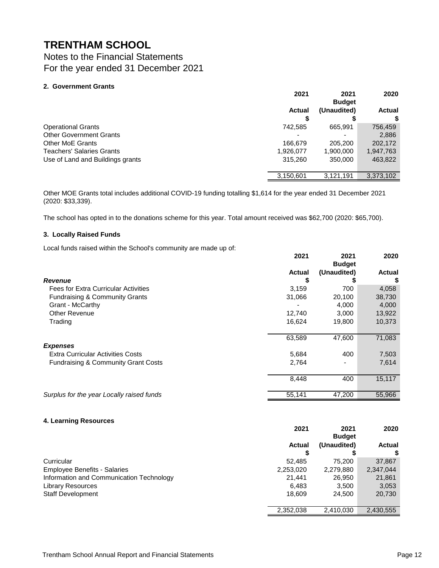Notes to the Financial Statements For the year ended 31 December 2021

#### **2. Government Grants**

|                                  | 2021          | 2021<br><b>Budget</b> | 2020          |
|----------------------------------|---------------|-----------------------|---------------|
|                                  | <b>Actual</b> | (Unaudited)           | <b>Actual</b> |
|                                  |               |                       |               |
| <b>Operational Grants</b>        | 742.585       | 665,991               | 756,459       |
| <b>Other Government Grants</b>   | -             |                       | 2,886         |
| <b>Other MoE Grants</b>          | 166,679       | 205,200               | 202,172       |
| <b>Teachers' Salaries Grants</b> | 1,926,077     | 1,900,000             | 1,947,763     |
| Use of Land and Buildings grants | 315,260       | 350,000               | 463,822       |
|                                  | 3,150,601     | 3,121,191             | 3,373,102     |

Other MOE Grants total includes additional COVID-19 funding totalling \$1,614 for the year ended 31 December 2021 (2020: \$33,339).

The school has opted in to the donations scheme for this year. Total amount received was \$62,700 (2020: \$65,700).

#### **3. Locally Raised Funds**

Local funds raised within the School's community are made up of:

| a mann are concert community are made ap on    | 2021          | 2021<br><b>Budget</b> | 2020          |
|------------------------------------------------|---------------|-----------------------|---------------|
|                                                | <b>Actual</b> | (Unaudited)           | <b>Actual</b> |
| Revenue                                        | \$            |                       | \$            |
| <b>Fees for Extra Curricular Activities</b>    | 3,159         | 700                   | 4,058         |
| Fundraising & Community Grants                 | 31,066        | 20,100                | 38,730        |
| Grant - McCarthy                               |               | 4,000                 | 4,000         |
| <b>Other Revenue</b>                           | 12,740        | 3,000                 | 13,922        |
| Trading                                        | 16,624        | 19,800                | 10,373        |
|                                                | 63,589        | 47,600                | 71,083        |
| <b>Expenses</b>                                |               |                       |               |
| <b>Extra Curricular Activities Costs</b>       | 5,684         | 400                   | 7,503         |
| <b>Fundraising &amp; Community Grant Costs</b> | 2,764         |                       | 7,614         |
|                                                | 8,448         | 400                   | 15,117        |
| Surplus for the year Locally raised funds      | 55,141        | 47,200                | 55,966        |

#### **4. Learning Resources**

|                                          | 2021      | 2021<br><b>Budget</b> | 2020      |
|------------------------------------------|-----------|-----------------------|-----------|
|                                          | Actual    | (Unaudited)           | Actual    |
|                                          |           |                       |           |
| Curricular                               | 52.485    | 75.200                | 37,867    |
| <b>Employee Benefits - Salaries</b>      | 2,253,020 | 2,279,880             | 2,347,044 |
| Information and Communication Technology | 21.441    | 26.950                | 21,861    |
| <b>Library Resources</b>                 | 6.483     | 3,500                 | 3,053     |
| <b>Staff Development</b>                 | 18.609    | 24.500                | 20,730    |
|                                          | 2,352,038 | 2,410,030             | 2,430,555 |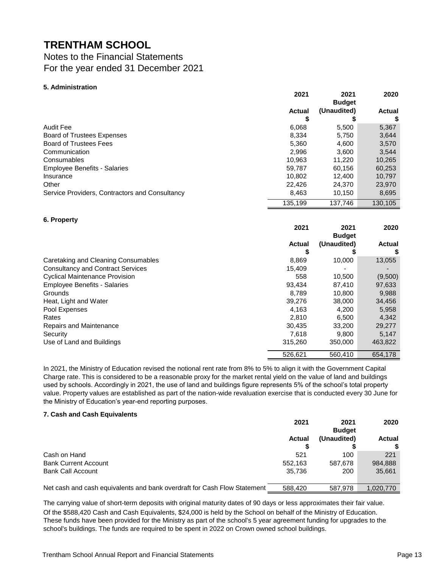### Notes to the Financial Statements For the year ended 31 December 2021

#### **5. Administration**

|                                                | 2021          | 2021          | 2020          |
|------------------------------------------------|---------------|---------------|---------------|
|                                                |               | <b>Budget</b> |               |
|                                                | <b>Actual</b> | (Unaudited)   | <b>Actual</b> |
|                                                | \$            | S             | \$            |
| <b>Audit Fee</b>                               | 6,068         | 5,500         | 5,367         |
| <b>Board of Trustees Expenses</b>              | 8,334         | 5,750         | 3,644         |
| <b>Board of Trustees Fees</b>                  | 5,360         | 4,600         | 3,570         |
| Communication                                  | 2,996         | 3,600         | 3,544         |
| Consumables                                    | 10.963        | 11,220        | 10,265        |
| <b>Employee Benefits - Salaries</b>            | 59,787        | 60,156        | 60,253        |
| Insurance                                      | 10,802        | 12,400        | 10,797        |
| Other                                          | 22,426        | 24,370        | 23,970        |
| Service Providers, Contractors and Consultancy | 8,463         | 10,150        | 8,695         |
|                                                | 135,199       | 137,746       | 130,105       |
|                                                |               |               |               |
| 6. Property                                    |               |               |               |
|                                                |               |               |               |
|                                                | 2021          | 2021          | 2020          |
|                                                |               | <b>Budget</b> |               |
|                                                | <b>Actual</b> | (Unaudited)   | <b>Actual</b> |
|                                                | S             |               |               |
| Caretaking and Cleaning Consumables            | 8,869         | 10,000        | 13,055        |
| <b>Consultancy and Contract Services</b>       | 15,409        |               |               |
| <b>Cyclical Maintenance Provision</b>          | 558           | 10.500        | (9,500)       |
| <b>Employee Benefits - Salaries</b>            | 93,434        | 87,410        | 97,633        |
| Grounds                                        | 8,789         | 10,800        | 9,988         |
| Heat, Light and Water                          | 39,276        | 38,000        | 34,456        |
| Pool Expenses                                  | 4,163         | 4,200         | 5,958         |
| Rates                                          | 2,810         | 6,500         | 4,342         |
| Repairs and Maintenance                        | 30,435        | 33,200        | 29,277        |
| Security                                       | 7,618         | 9,800         | 5,147         |

In 2021, the Ministry of Education revised the notional rent rate from 8% to 5% to align it with the Government Capital Charge rate. This is considered to be a reasonable proxy for the market rental yield on the value of land and buildings used by schools. Accordingly in 2021, the use of land and buildings figure represents 5% of the school's total property value. Property values are established as part of the nation-wide revaluation exercise that is conducted every 30 June for the Ministry of Education's year-end reporting purposes.

#### **7. Cash and Cash Equivalents**

|                                                                          | 2021          | 2021<br><b>Budget</b> | 2020      |
|--------------------------------------------------------------------------|---------------|-----------------------|-----------|
|                                                                          | <b>Actual</b> | (Unaudited)           | Actual    |
|                                                                          |               |                       | \$        |
| Cash on Hand                                                             | 521           | 100                   | 221       |
| <b>Bank Current Account</b>                                              | 552.163       | 587.678               | 984,888   |
| <b>Bank Call Account</b>                                                 | 35.736        | 200                   | 35,661    |
|                                                                          |               |                       |           |
| Net cash and cash equivalents and bank overdraft for Cash Flow Statement | 588,420       | 587,978               | 1.020.770 |

The carrying value of short-term deposits with original maturity dates of 90 days or less approximates their fair value. Of the \$588,420 Cash and Cash Equivalents, \$24,000 is held by the School on behalf of the Ministry of Education. These funds have been provided for the Ministry as part of the school's 5 year agreement funding for upgrades to the school's buildings. The funds are required to be spent in 2022 on Crown owned school buildings.

526,621 560,410 654,178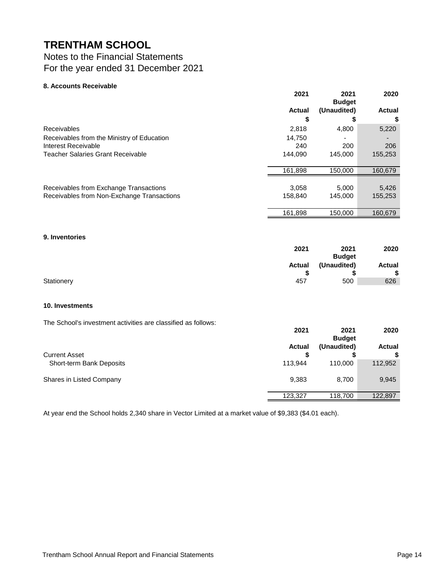### Notes to the Financial Statements For the year ended 31 December 2021

#### **8. Accounts Receivable**

| (Unaudited)<br><b>Actual</b><br>\$<br>\$<br>5,220<br><b>Receivables</b><br>2,818<br>4,800<br>Receivables from the Ministry of Education<br>14.750<br>Interest Receivable<br>200<br>240<br>206<br><b>Teacher Salaries Grant Receivable</b><br>144.090<br>145,000<br>155,253<br>161,898<br>150,000<br>160,679<br>Receivables from Exchange Transactions<br>5,000<br>5,426<br>3,058<br>Receivables from Non-Exchange Transactions<br>158.840<br>145.000<br>155,253 | 2021    | 2021<br><b>Budget</b> | 2020          |
|-----------------------------------------------------------------------------------------------------------------------------------------------------------------------------------------------------------------------------------------------------------------------------------------------------------------------------------------------------------------------------------------------------------------------------------------------------------------|---------|-----------------------|---------------|
|                                                                                                                                                                                                                                                                                                                                                                                                                                                                 |         |                       | <b>Actual</b> |
|                                                                                                                                                                                                                                                                                                                                                                                                                                                                 |         |                       |               |
|                                                                                                                                                                                                                                                                                                                                                                                                                                                                 |         |                       |               |
|                                                                                                                                                                                                                                                                                                                                                                                                                                                                 |         |                       |               |
|                                                                                                                                                                                                                                                                                                                                                                                                                                                                 |         |                       |               |
|                                                                                                                                                                                                                                                                                                                                                                                                                                                                 |         |                       |               |
|                                                                                                                                                                                                                                                                                                                                                                                                                                                                 |         |                       |               |
|                                                                                                                                                                                                                                                                                                                                                                                                                                                                 |         |                       |               |
|                                                                                                                                                                                                                                                                                                                                                                                                                                                                 | 161,898 | 150,000               | 160,679       |

#### **9. Inventories**

|            | 2021          | 2021          | 2020   |
|------------|---------------|---------------|--------|
|            |               | <b>Budget</b> |        |
|            | <b>Actual</b> | (Unaudited)   | Actual |
|            |               |               | \$     |
| Stationery | 457           | 500           | 626    |

#### **10. Investments**

The School's investment activities are classified as follows:

| . דיס וסטופו שטוויטט שוני טעווי ווער מינוי טוייטט און די דיס וסטוויט שוני | 2021          | 2021<br><b>Budget</b> | 2020               |
|---------------------------------------------------------------------------|---------------|-----------------------|--------------------|
| <b>Current Asset</b>                                                      | <b>Actual</b> | (Unaudited)           | <b>Actual</b><br>S |
| Short-term Bank Deposits                                                  | 113.944       | 110.000               | 112,952            |
| Shares in Listed Company                                                  | 9,383         | 8.700                 | 9,945              |
|                                                                           | 123,327       | 118,700               | 122,897            |

At year end the School holds 2,340 share in Vector Limited at a market value of \$9,383 (\$4.01 each).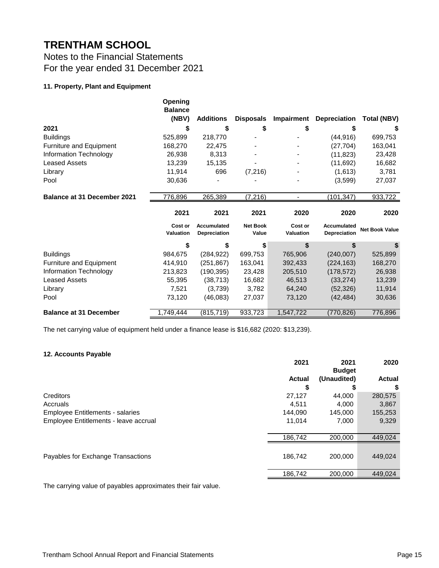### Notes to the Financial Statements For the year ended 31 December 2021

#### **11. Property, Plant and Equipment**

|                                    | Opening<br><b>Balance</b><br>(NBV) | <b>Additions</b>            | <b>Disposals</b>         | Impairment                  | <b>Depreciation</b>         | <b>Total (NBV)</b>    |
|------------------------------------|------------------------------------|-----------------------------|--------------------------|-----------------------------|-----------------------------|-----------------------|
| 2021                               | \$                                 | \$                          | \$                       | \$                          | \$                          | S                     |
| <b>Buildings</b>                   | 525,899                            | 218,770                     |                          |                             | (44, 916)                   | 699,753               |
| Furniture and Equipment            | 168,270                            | 22,475                      |                          |                             | (27, 704)                   | 163,041               |
| Information Technology             | 26,938                             | 8,313                       |                          |                             | (11, 823)                   | 23,428                |
| <b>Leased Assets</b>               | 13,239                             | 15,135                      |                          |                             | (11,692)                    | 16,682                |
| Library                            | 11,914                             | 696                         | (7, 216)                 |                             | (1,613)                     | 3,781                 |
| Pool                               | 30,636                             |                             |                          |                             | (3,599)                     | 27,037                |
| <b>Balance at 31 December 2021</b> | 776,896                            | 265,389                     | (7, 216)                 |                             | (101, 347)                  | 933,722               |
|                                    | 2021                               | 2021                        | 2021                     | 2020                        | 2020                        | 2020                  |
|                                    |                                    |                             |                          |                             |                             |                       |
|                                    | Cost or<br>Valuation               | Accumulated<br>Depreciation | <b>Net Book</b><br>Value | Cost or<br><b>Valuation</b> | Accumulated<br>Depreciation | <b>Net Book Value</b> |
|                                    | \$                                 | \$                          | \$                       |                             |                             | \$                    |
| <b>Buildings</b>                   | 984,675                            | (284, 922)                  | 699,753                  | 765,906                     | (240,007)                   | 525,899               |
| Furniture and Equipment            | 414,910                            | (251, 867)                  | 163,041                  | 392,433                     | (224, 163)                  | 168,270               |
| Information Technology             | 213,823                            | (190, 395)                  | 23,428                   | 205,510                     | (178, 572)                  | 26,938                |
| <b>Leased Assets</b>               | 55,395                             | (38, 713)                   | 16,682                   | 46,513                      | (33, 274)                   | 13,239                |
| Library                            | 7,521                              | (3,739)                     | 3,782                    | 64,240                      | (52, 326)                   | 11,914                |
| Pool                               | 73,120                             | (46,083)                    | 27,037                   | 73,120                      | (42, 484)                   | 30,636                |

The net carrying value of equipment held under a finance lease is \$16,682 (2020: \$13,239).

#### **12. Accounts Payable**

|                                         | 2021          | 2021<br><b>Budget</b> | 2020          |
|-----------------------------------------|---------------|-----------------------|---------------|
|                                         | <b>Actual</b> | (Unaudited)           | <b>Actual</b> |
|                                         | \$            | S                     | \$            |
| Creditors                               | 27,127        | 44,000                | 280,575       |
| Accruals                                | 4.511         | 4,000                 | 3,867         |
| <b>Employee Entitlements - salaries</b> | 144.090       | 145.000               | 155,253       |
| Employee Entitlements - leave accrual   | 11.014        | 7,000                 | 9,329         |
|                                         | 186,742       | 200.000               | 449,024       |
| Payables for Exchange Transactions      | 186,742       | 200,000               | 449,024       |
|                                         | 186,742       | 200.000               | 449,024       |

The carrying value of payables approximates their fair value.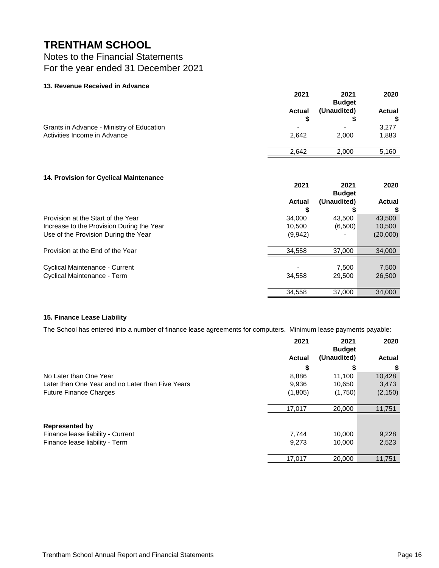### Notes to the Financial Statements For the year ended 31 December 2021

#### **13. Revenue Received in Advance**

|                                           | 2021          | 2021<br><b>Budget</b> | 2020          |
|-------------------------------------------|---------------|-----------------------|---------------|
|                                           | <b>Actual</b> | (Unaudited)           | <b>Actual</b> |
|                                           |               |                       |               |
| Grants in Advance - Ministry of Education | -             |                       | 3,277         |
| Activities Income in Advance              | 2.642         | 2.000                 | 1,883         |
|                                           | 2.642         | 2,000                 | 5,160         |

#### **14. Provision for Cyclical Maintenance**

|                                                                                                                         | 2021                        | 2021<br><b>Budget</b> | 2020                         |
|-------------------------------------------------------------------------------------------------------------------------|-----------------------------|-----------------------|------------------------------|
|                                                                                                                         | Actual                      | (Unaudited)           | <b>Actual</b>                |
| Provision at the Start of the Year<br>Increase to the Provision During the Year<br>Use of the Provision During the Year | 34,000<br>10.500<br>(9,942) | 43.500<br>(6,500)     | 43,500<br>10,500<br>(20,000) |
| Provision at the End of the Year                                                                                        | 34.558                      | 37,000                | 34,000                       |
| Cyclical Maintenance - Current<br>Cyclical Maintenance - Term                                                           | 34.558                      | 7.500<br>29,500       | 7,500<br>26,500              |
|                                                                                                                         | 34,558                      | 37,000                | 34,000                       |

#### **15. Finance Lease Liability**

The School has entered into a number of finance lease agreements for computers. Minimum lease payments payable:

|                                                  | 2021          | 2021<br><b>Budget</b> | 2020          |
|--------------------------------------------------|---------------|-----------------------|---------------|
|                                                  | <b>Actual</b> | (Unaudited)           | <b>Actual</b> |
|                                                  | S             |                       | \$            |
| No Later than One Year                           | 8,886         | 11.100                | 10,428        |
| Later than One Year and no Later than Five Years | 9,936         | 10,650                | 3,473         |
| <b>Future Finance Charges</b>                    | (1,805)       | (1,750)               | (2, 150)      |
|                                                  | 17,017        | 20,000                | 11,751        |
| <b>Represented by</b>                            |               |                       |               |
| Finance lease liability - Current                | 7.744         | 10.000                | 9,228         |
| Finance lease liability - Term                   | 9,273         | 10,000                | 2,523         |
|                                                  | 17,017        | 20,000                | 11,751        |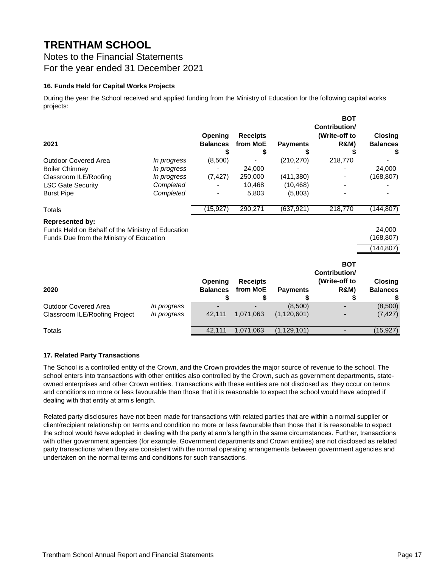### Notes to the Financial Statements For the year ended 31 December 2021

#### **16. Funds Held for Capital Works Projects**

During the year the School received and applied funding from the Ministry of Education for the following capital works projects:

| 2021                                                                                                                    |                            | Opening<br><b>Balances</b> | <b>Receipts</b><br>from MoE<br>S  | <b>Payments</b>          | <b>BOT</b><br>Contribution/<br>(Write-off to<br><b>R&amp;M)</b> | <b>Closing</b><br><b>Balances</b><br>S |
|-------------------------------------------------------------------------------------------------------------------------|----------------------------|----------------------------|-----------------------------------|--------------------------|-----------------------------------------------------------------|----------------------------------------|
| <b>Outdoor Covered Area</b>                                                                                             | In progress                | (8,500)                    |                                   | (210, 270)               | 218,770                                                         |                                        |
| <b>Boiler Chimney</b>                                                                                                   | In progress                |                            | 24,000                            |                          |                                                                 | 24,000                                 |
| Classroom ILE/Roofing                                                                                                   | In progress                | (7, 427)                   | 250,000                           | (411,380)                |                                                                 | (168, 807)                             |
| <b>LSC Gate Security</b>                                                                                                | Completed                  |                            | 10,468                            | (10, 468)                |                                                                 |                                        |
| <b>Burst Pipe</b>                                                                                                       | Completed                  |                            | 5,803                             | (5,803)                  |                                                                 |                                        |
| Totals                                                                                                                  |                            | (15, 927)                  | 290,271                           | (637, 921)               | 218,770                                                         | (144,807)                              |
| <b>Represented by:</b><br>Funds Held on Behalf of the Ministry of Education<br>Funds Due from the Ministry of Education |                            |                            |                                   |                          |                                                                 | 24,000<br>(168, 807)<br>(144, 807)     |
| 2020                                                                                                                    |                            | Opening<br><b>Balances</b> | <b>Receipts</b><br>from MoE<br>\$ | <b>Payments</b>          | <b>BOT</b><br>Contribution/<br>(Write-off to<br><b>R&amp;M)</b> | Closing<br><b>Balances</b>             |
| <b>Outdoor Covered Area</b><br>Classroom ILE/Roofing Project                                                            | In progress<br>In progress | 42,111                     | 1,071,063                         | (8,500)<br>(1, 120, 601) |                                                                 | (8,500)<br>(7, 427)                    |
| Totals                                                                                                                  |                            | 42,111                     | 1,071,063                         | (1, 129, 101)            |                                                                 | (15, 927)                              |

#### **17. Related Party Transactions**

The School is a controlled entity of the Crown, and the Crown provides the major source of revenue to the school. The school enters into transactions with other entities also controlled by the Crown, such as government departments, stateowned enterprises and other Crown entities. Transactions with these entities are not disclosed as they occur on terms and conditions no more or less favourable than those that it is reasonable to expect the school would have adopted if dealing with that entity at arm's length.

Related party disclosures have not been made for transactions with related parties that are within a normal supplier or client/recipient relationship on terms and condition no more or less favourable than those that it is reasonable to expect the school would have adopted in dealing with the party at arm's length in the same circumstances. Further, transactions with other government agencies (for example, Government departments and Crown entities) are not disclosed as related party transactions when they are consistent with the normal operating arrangements between government agencies and undertaken on the normal terms and conditions for such transactions.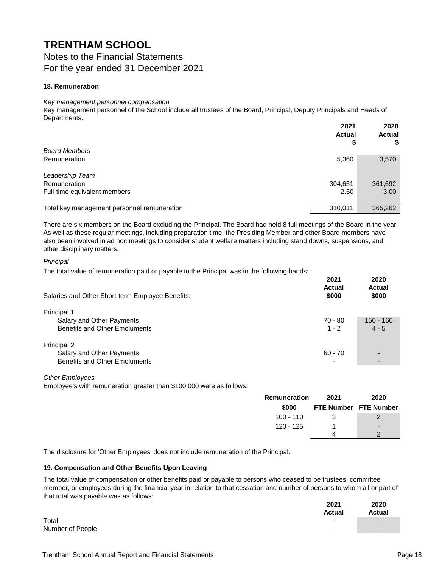Notes to the Financial Statements For the year ended 31 December 2021

#### **18. Remuneration**

#### *Key management personnel compensation*

Key management personnel of the School include all trustees of the Board, Principal, Deputy Principals and Heads of Departments.

|                                             | 2021<br><b>Actual</b><br>\$ | 2020<br><b>Actual</b><br>\$ |
|---------------------------------------------|-----------------------------|-----------------------------|
| <b>Board Members</b>                        |                             |                             |
| Remuneration                                | 5,360                       | 3,570                       |
| Leadership Team                             |                             |                             |
| Remuneration                                | 304,651                     | 361,692                     |
| Full-time equivalent members                | 2.50                        | 3.00                        |
|                                             |                             |                             |
| Total key management personnel remuneration | 310.011                     | 365,262                     |
|                                             |                             |                             |

There are six members on the Board excluding the Principal. The Board had held 8 full meetings of the Board in the year. As well as these regular meetings, including preparation time, the Presiding Member and other Board members have also been involved in ad hoc meetings to consider student welfare matters including stand downs, suspensions, and other disciplinary matters.

#### *Principal*

The total value of remuneration paid or payable to the Principal was in the following bands:

| Salaries and Other Short-term Employee Benefits: | 2021<br><b>Actual</b><br>\$000 | 2020<br>Actual<br>\$000 |
|--------------------------------------------------|--------------------------------|-------------------------|
| Principal 1                                      |                                |                         |
| Salary and Other Payments                        | 70 - 80                        | 150 - 160               |
| Benefits and Other Emoluments                    | $1 - 2$                        | $4 - 5$                 |
| Principal 2                                      |                                |                         |
| Salary and Other Payments                        | $60 - 70$                      |                         |
| <b>Benefits and Other Emoluments</b>             | $\overline{\phantom{0}}$       |                         |

*Other Employees*

Employee's with remuneration greater than \$100,000 were as follows:

| Remuneration | 2021                  | 2020                         |
|--------------|-----------------------|------------------------------|
| \$000        | FTE Number FTE Number |                              |
| $100 - 110$  | З                     |                              |
| 120 - 125    |                       | $\qquad \qquad \blacksquare$ |
|              |                       |                              |

The disclosure for 'Other Employees' does not include remuneration of the Principal.

#### **19. Compensation and Other Benefits Upon Leaving**

The total value of compensation or other benefits paid or payable to persons who ceased to be trustees, committee member, or employees during the financial year in relation to that cessation and number of persons to whom all or part of that total was payable was as follows:

|                  | 2021<br>Actual           | 2020<br>Actual |
|------------------|--------------------------|----------------|
| Total            | $\overline{\phantom{0}}$ | $\blacksquare$ |
| Number of People | $\overline{\phantom{0}}$ | $\blacksquare$ |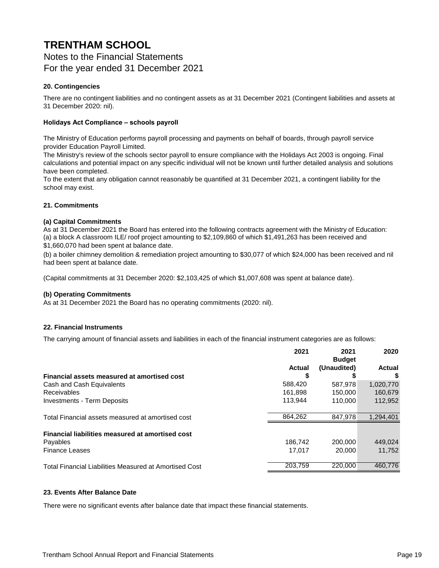### **TRENTHAM SCHOOL** Notes to the Financial Statements For the year ended 31 December 2021

#### **20. Contingencies**

There are no contingent liabilities and no contingent assets as at 31 December 2021 (Contingent liabilities and assets at 31 December 2020: nil).

#### **Holidays Act Compliance – schools payroll**

The Ministry of Education performs payroll processing and payments on behalf of boards, through payroll service provider Education Payroll Limited.

The Ministry's review of the schools sector payroll to ensure compliance with the Holidays Act 2003 is ongoing. Final calculations and potential impact on any specific individual will not be known until further detailed analysis and solutions have been completed.

To the extent that any obligation cannot reasonably be quantified at 31 December 2021, a contingent liability for the school may exist.

#### **21. Commitments**

#### **(a) Capital Commitments**

As at 31 December 2021 the Board has entered into the following contracts agreement with the Ministry of Education: (a) a block A classroom ILE/ roof project amounting to \$2,109,860 of which \$1,491,263 has been received and \$1,660,070 had been spent at balance date.

(b) a boiler chimney demolition & remediation project amounting to \$30,077 of which \$24,000 has been received and nil had been spent at balance date.

(Capital commitments at 31 December 2020: \$2,103,425 of which \$1,007,608 was spent at balance date).

#### **(b) Operating Commitments**

As at 31 December 2021 the Board has no operating commitments (2020: nil).

#### **22. Financial Instruments**

The carrying amount of financial assets and liabilities in each of the financial instrument categories are as follows:

|                                                               | 2021    | 2021<br><b>Budget</b> | 2020      |
|---------------------------------------------------------------|---------|-----------------------|-----------|
|                                                               | Actual  | (Unaudited)           | Actual    |
| Financial assets measured at amortised cost                   |         |                       | \$        |
| Cash and Cash Equivalents                                     | 588,420 | 587.978               | 1,020,770 |
| Receivables                                                   | 161,898 | 150,000               | 160,679   |
| Investments - Term Deposits                                   | 113.944 | 110,000               | 112,952   |
| Total Financial assets measured at amortised cost             | 864,262 | 847,978               | 1,294,401 |
| Financial liabilities measured at amortised cost              |         |                       |           |
| Payables                                                      | 186.742 | 200,000               | 449.024   |
| <b>Finance Leases</b>                                         | 17.017  | 20,000                | 11,752    |
| <b>Total Financial Liabilities Measured at Amortised Cost</b> | 203,759 | 220,000               | 460.776   |

#### **23. Events After Balance Date**

There were no significant events after balance date that impact these financial statements.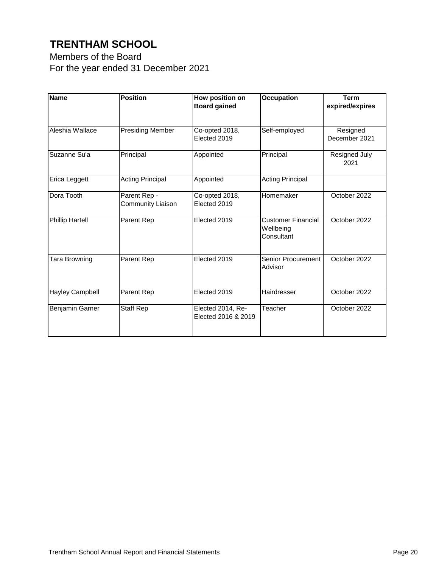Members of the Board For the year ended 31 December 2021

| <b>Name</b>            | <b>Position</b>                   | How position on<br><b>Board gained</b>   | <b>Occupation</b>                                    | <b>Term</b><br>expired/expires |
|------------------------|-----------------------------------|------------------------------------------|------------------------------------------------------|--------------------------------|
| Aleshia Wallace        | <b>Presiding Member</b>           | Co-opted 2018,<br>Elected 2019           | Self-employed                                        | Resigned<br>December 2021      |
| Suzanne Su'a           | Principal                         | Appointed                                | Principal                                            | Resigned July<br>2021          |
| Erica Leggett          | <b>Acting Principal</b>           | Appointed                                | <b>Acting Principal</b>                              |                                |
| Dora Tooth             | Parent Rep -<br>Community Liaison | Co-opted 2018,<br>Elected 2019           | Homemaker                                            | October 2022                   |
| <b>Phillip Hartell</b> | Parent Rep                        | Elected 2019                             | <b>Customer Financial</b><br>Wellbeing<br>Consultant | October 2022                   |
| Tara Browning          | Parent Rep                        | Elected 2019                             | Senior Procurement<br>Advisor                        | October 2022                   |
| <b>Hayley Campbell</b> | Parent Rep                        | Elected 2019                             | Hairdresser                                          | October 2022                   |
| Benjamin Garner        | Staff Rep                         | Elected 2014, Re-<br>Elected 2016 & 2019 | Teacher                                              | October 2022                   |